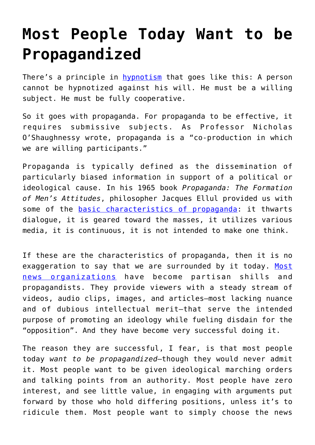## **[Most People Today Want to be](https://intellectualtakeout.org/2017/01/most-people-today-want-to-be-propagandized/) [Propagandized](https://intellectualtakeout.org/2017/01/most-people-today-want-to-be-propagandized/)**

There's a principle in **hypnotism** that goes like this: A person cannot be hypnotized against his will. He must be a willing subject. He must be fully cooperative.

So it goes with propaganda. For propaganda to be effective, it requires submissive subjects. As Professor Nicholas O'Shaughnessy wrote, propaganda is a "co-production in which we are willing participants."

Propaganda is typically defined as the dissemination of particularly biased information in support of a political or ideological cause. In his 1965 book *Propaganda: The Formation of Men's Attitudes*, philosopher Jacques Ellul provided us with some of the **basic** characteristics of propaganda: it thwarts dialogue, it is geared toward the masses, it utilizes various media, it is continuous, it is not intended to make one think.

If these are the characteristics of propaganda, then it is no exaggeration to say that we are surrounded by it today. [Most](https://www.intellectualtakeout.org/blog/amercian-journalism-collapsing-our-eyes) [news organizations](https://www.intellectualtakeout.org/blog/amercian-journalism-collapsing-our-eyes) have become partisan shills and propagandists. They provide viewers with a steady stream of videos, audio clips, images, and articles—most lacking nuance and of dubious intellectual merit—that serve the intended purpose of promoting an ideology while fueling disdain for the "opposition". And they have become very successful doing it.

The reason they are successful, I fear, is that most people today *want to be propagandized*—though they would never admit it. Most people want to be given ideological marching orders and talking points from an authority. Most people have zero interest, and see little value, in engaging with arguments put forward by those who hold differing positions, unless it's to ridicule them. Most people want to simply choose the news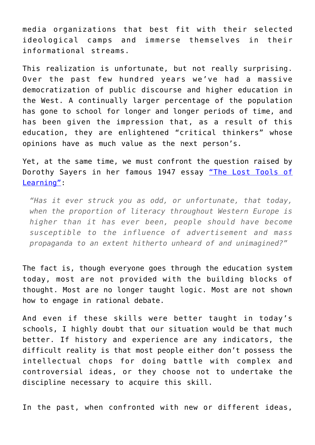media organizations that best fit with their selected ideological camps and immerse themselves in their informational streams.

This realization is unfortunate, but not really surprising. Over the past few hundred years we've had a massive democratization of public discourse and higher education in the West. A continually larger percentage of the population has gone to school for longer and longer periods of time, and has been given the impression that, as a result of this education, they are enlightened "critical thinkers" whose opinions have as much value as the next person's.

Yet, at the same time, we must confront the question raised by Dorothy Sayers in her famous 1947 essay ["The Lost Tools of](http://www.gbt.org/text/sayers.html) Learning"

*"Has it ever struck you as odd, or unfortunate, that today, when the proportion of literacy throughout Western Europe is higher than it has ever been, people should have become susceptible to the influence of advertisement and mass propaganda to an extent hitherto unheard of and unimagined?"*

The fact is, though everyone goes through the education system today, most are not provided with the building blocks of thought. Most are no longer taught logic. Most are not shown how to engage in rational debate.

And even if these skills were better taught in today's schools, I highly doubt that our situation would be that much better. If history and experience are any indicators, the difficult reality is that most people either don't possess the intellectual chops for doing battle with complex and controversial ideas, or they choose not to undertake the discipline necessary to acquire this skill.

In the past, when confronted with new or different ideas,